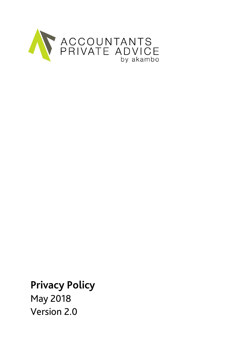

**Privacy Policy**

May 2018 Version 2.0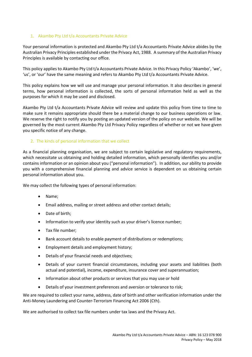# 1. Akambo Pty Ltd t/a Accountants Private Advice

Your personal information is protected and Akambo Pty Ltd t/a Accountants Private Advice abides by the Australian Privacy Principles established under the Privacy Act, 1988. A summary of the Australian Privacy Principles is available by contacting our office.

This policy applies to Akambo Pty Ltd t/a Accountants Private Advice. In this Privacy Policy 'Akambo', 'we', 'us', or 'our' have the same meaning and refers to Akambo Pty Ltd t/a Accountants Private Advice.

This policy explains how we will use and manage your personal information. It also describes in general terms, how personal information is collected, the sorts of personal information held as well as the purposes for which it may be used and disclosed.

Akambo Pty Ltd t/a Accountants Private Advice will review and update this policy from time to time to make sure it remains appropriate should there be a material change to our business operations or law. We reserve the right to notify you by posting an updated version of the policy on our website. We will be governed by the most current Akambo Pty Ltd Privacy Policy regardless of whether or not we have given you specific notice of any change.

#### 2. The kinds of personal information that we collect

As a financial planning organisation, we are subject to certain legislative and regulatory requirements, which necessitate us obtaining and holding detailed information, which personally identifies you and/or contains information or an opinion about you ("personal information"). In addition, our ability to provide you with a comprehensive financial planning and advice service is dependent on us obtaining certain personal information about you.

We may collect the following types of personal information:

- Name;
- Email address, mailing or street address and other contact details;
- Date of birth;
- Information to verify your identity such as your driver's licence number;
- Tax file number;
- Bank account details to enable payment of distributions or redemptions;
- Employment details and employment history;
- Details of your financial needs and objectives;
- Details of your current financial circumstances, including your assets and liabilities (both actual and potential), income, expenditure, insurance cover and superannuation;
- Information about other products or services that you may use or hold
- Details of your investment preferences and aversion or tolerance to risk;

We are required to collect your name, address, date of birth and other verification information under the Anti-Money Laundering and Counter-Terrorism Financing Act 2006 (Cth).

We are authorised to collect tax file numbers under tax laws and the Privacy Act.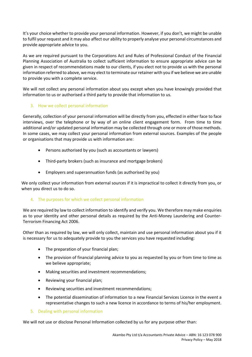It's your choice whether to provide your personal information. However, if you don't, we might be unable to fulfil your request and it may also affect our ability to properly analyse your personal circumstances and provide appropriate advice to you.

As we are required pursuant to the Corporations Act and Rules of Professional Conduct of the Financial Planning Association of Australia to collect sufficient information to ensure appropriate advice can be given in respect of recommendations made to our clients, if you elect not to provide us with the personal information referred to above, we may elect to terminate our retainer with you if we believe we are unable to provide you with a complete service.

We will not collect any personal information about you except when you have knowingly provided that information to us or authorised a third party to provide that information to us.

# 3. How we collect personal information

Generally, collection of your personal information will be directly from you, effected in either face to face interviews, over the telephone or by way of an online client engagement form. From time to time additional and/or updated personal information may be collected through one or more of those methods. In some cases, we may collect your personal information from external sources. Examples of the people or organisations that may provide us with information are:

- Persons authorised by you (such as accountants or lawyers)
- Third-party brokers (such as insurance and mortgage brokers)
- Employers and superannuation funds (as authorised by you)

We only collect your information from external sources if it is impractical to collect it directly from you, or when you direct us to do so.

# 4. The purposes for which we collect personal information

We are required by law to collect information to identify and verify you. We therefore may make enquiries as to your identity and other personal details as required by the Anti-Money Laundering and Counter-Terrorism Financing Act 2006.

Other than as required by law, we will only collect, maintain and use personal information about you if it is necessary for us to adequately provide to you the services you have requested including:

- The preparation of your financial plan;
- The provision of financial planning advice to you as requested by you or from time to time as we believe appropriate;
- Making securities and investment recommendations;
- Reviewing your financial plan;
- Reviewing securities and investment recommendations;
- The potential dissemination of information to a new Financial Services Licence in the event a representative changes to such a new licence in accordance to terms of his/her employment.
- 5. Dealing with personal information

We will not use or disclose Personal Information collected by us for any purpose other than: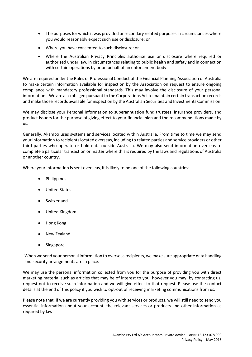- The purposes for which it was provided or secondary related purposes in circumstances where you would reasonably expect such use or disclosure; or
- Where you have consented to such disclosure; or
- Where the Australian Privacy Principles authorise use or disclosure where required or authorised under law, in circumstances relating to public health and safety and in connection with certain operations by or on behalf of an enforcement body.

We are required under the Rules of Professional Conduct of the Financial Planning Association of Australia to make certain information available for inspection by the Association on request to ensure ongoing compliance with mandatory professional standards. This may involve the disclosure of your personal information. We are also obliged pursuant to the Corporations Act to maintain certain transaction records and make those records available for inspection by the Australian Securities and Investments Commission.

We may disclose your Personal Information to superannuation fund trustees, insurance providers, and product issuers for the purpose of giving effect to your financial plan and the recommendations made by us.

Generally, Akambo uses systems and services located within Australia. From time to time we may send your information to recipients located overseas, including to related parties and service providers or other third parties who operate or hold data outside Australia. We may also send information overseas to complete a particular transaction or matter where this is required by the laws and regulations of Australia or another country.

Where your information is sent overseas, it is likely to be one of the following countries:

- **Philippines**
- United States
- Switzerland
- United Kingdom
- Hong Kong
- New Zealand
- **Singapore**

When we send your personal information to overseas recipients, we make sure appropriate data handling and security arrangements are in place.

We may use the personal information collected from you for the purpose of providing you with direct marketing material such as articles that may be of interest to you, however you may, by contacting us, request not to receive such information and we will give effect to that request. Please use the contact details at the end of this policy if you wish to opt-out of receiving marketing communications from us.

Please note that, if we are currently providing you with services or products, we will still need to send you essential information about your account, the relevant services or products and other information as required by law.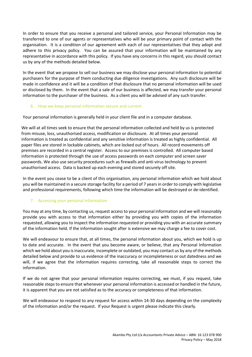In order to ensure that you receive a personal and tailored service, your Personal Information may be transferred to one of our agents or representatives who will be your primary point of contact with the organisation. It is a condition of our agreement with each of our representatives that they adopt and adhere to this privacy policy. You can be assured that your information will be maintained by any representative in accordance with this policy. If you have any concerns in this regard, you should contact us by any of the methods detailed below.

In the event that we propose to sell our business we may disclose your personal information to potential purchasers for the purpose of them conducting due diligence investigations. Any such disclosure will be made in confidence and it will be a condition of that disclosure that no personal information will be used or disclosed by them. In the event that a sale of our business is affected, we may transfer your personal information to the purchaser of the business. As a client you will be advised of any such transfer.

## 6. How we keep personal information secure and current

Your personal information is generally held in your client file and in a computer database.

We will at all times seek to ensure that the personal information collected and held by us is protected from misuse, loss, unauthorised access, modification or disclosure. At all times your personal information is treated as confidential and any sensitive information is treated as highly confidential. All paper files are stored in lockable cabinets, which are locked out of hours. All record movements off premises are recorded in a central register. Access to our premises is controlled. All computer based information is protected through the use of access passwords on each computer and screen saver passwords. We also use security procedures such as firewalls and anti-virus technology to prevent unauthorised access. Data is backed up each evening and stored securely off site.

In the event you cease to be a client of this organisation, any personal information which we hold about you will be maintained in a secure storage facility for a period of 7 years in order to comply with legislative and professional requirements, following which time the information will be destroyed or de-identified.

# 7. Accessing your personal information

You may at any time, by contacting us, request access to your personal information and we will reasonably provide you with access to that information either by providing you with copies of the information requested, allowing you to inspect the information requested or providing you with an accurate summary of the information held. If the information sought after is extensive we may charge a fee to cover cost.

We will endeavour to ensure that, at all times, the personal information about you, which we hold is up to date and accurate. In the event that you become aware, or believe, that any Personal Information which we hold about you is inaccurate, incomplete or outdated, you may contact us by any of the methods detailed below and provide to us evidence of the inaccuracy or incompleteness or out datedness and we will, if we agree that the information requires correcting, take all reasonable steps to correct the information.

If we do not agree that your personal information requires correcting, we must, if you request, take reasonable steps to ensure that whenever your personal information is accessed or handled in the future, it is apparent that you are not satisfied as to the accuracy or completeness of that information.

We will endeavour to respond to any request for access within 14-30 days depending on the complexity of the information and/or the request. If your Request is urgent please indicate this clearly.